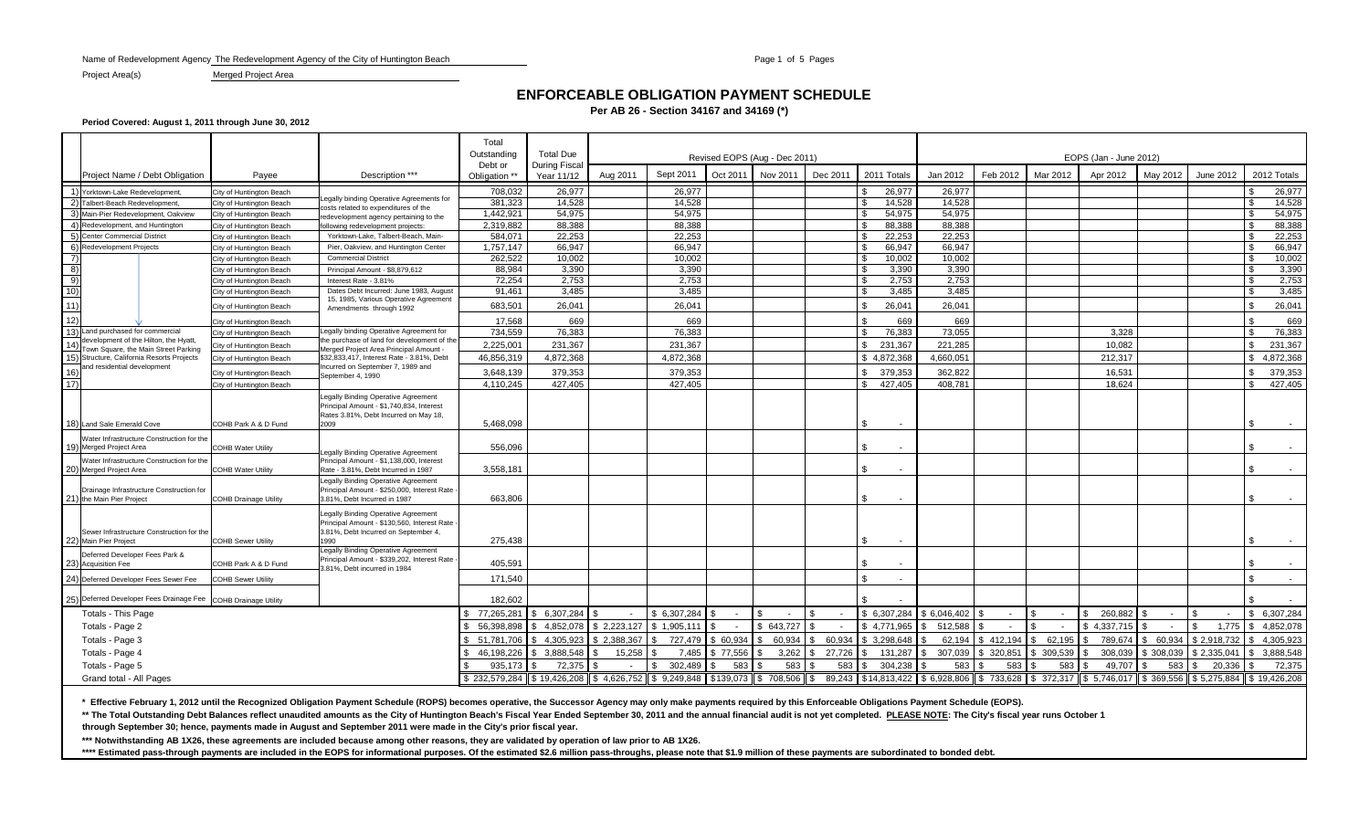Name of Redevelopment Agency The Redevelopment Agency of the City of Huntington Beach Page 1 of 5 Page 1 of 5 Pages

Project Area(s) Merged Project Area

# **ENFORCEABLE OBLIGATION PAYMENT SCHEDULE**

**Per AB 26 - Section 34167 and 34169 (\*)**

**Period Covered: August 1, 2011 through June 30, 2012**

|                              |                                                                |                              |                                                                                      | Total<br>Outstanding                                                          | <b>Total Due</b>           | Revised EOPS (Aug - Dec 2011) |                |          |           |          |                                                                                                      |               | EOPS (Jan - June 2012) |               |               |            |             |                    |  |  |  |
|------------------------------|----------------------------------------------------------------|------------------------------|--------------------------------------------------------------------------------------|-------------------------------------------------------------------------------|----------------------------|-------------------------------|----------------|----------|-----------|----------|------------------------------------------------------------------------------------------------------|---------------|------------------------|---------------|---------------|------------|-------------|--------------------|--|--|--|
|                              | Project Name / Debt Obligation                                 | Payee                        | Description ***                                                                      | Debt or<br>Obligation *                                                       | During Fisca<br>Year 11/12 | Aug 2011                      | Sept 2011      | Oct 2011 | Nov 2011  | Dec 2011 | 2011 Totals                                                                                          | Jan 2012      | Feb 2012               | Mar 2012      | Apr 2012      | May 2012   | June 2012   | 2012 Totals        |  |  |  |
|                              | Yorktown-Lake Redevelopment                                    | ity of Huntington Beach      |                                                                                      | 708.032                                                                       | 26.977                     |                               | 26.977         |          |           |          | 26.977                                                                                               | 26.977        |                        |               |               |            |             | 26.977             |  |  |  |
|                              | Talbert-Beach Redevelopment                                    | City of Huntington Beach     | egally binding Operative Agreements for                                              | 381,323                                                                       | 14,528                     |                               | 14.528         |          |           |          | 14,528                                                                                               | 14,528        |                        |               |               |            |             | 14,528             |  |  |  |
| $\left(3\right)$             | Main-Pier Redevelopment, Oakview                               | City of Huntington Beach     | costs related to expenditures of the<br>redevelopment agency pertaining to the       | 1,442,921                                                                     | 54,975                     |                               | 54,975         |          |           |          | 54,975                                                                                               | 54.975        |                        |               |               |            |             | 54,975             |  |  |  |
| $\overline{4}$               | Redevelopment, and Huntington                                  | City of Huntington Beach     | following redevelopment projects                                                     | 2,319,882                                                                     | 88.388                     |                               | 88.388         |          |           |          | 88,388                                                                                               | 88.388        |                        |               |               |            |             | 88,388             |  |  |  |
|                              | Center Commercial District                                     | City of Huntington Beach     | Yorktown-Lake, Talbert-Beach, Main-                                                  | 584,071                                                                       | 22,253                     |                               | 22.253         |          |           |          | 22,253                                                                                               | 22,253        |                        |               |               |            |             | 22,253             |  |  |  |
| 6)                           | <b>Redevelopment Projects</b>                                  | City of Huntington Beach     | Pier, Oakview, and Huntington Center                                                 | 1,757,147                                                                     | 66,947                     |                               | 66,947         |          |           |          | 66,947                                                                                               | 66,947        |                        |               |               |            |             | 66,947             |  |  |  |
| $\left( 7\right)$            |                                                                | ity of Huntington Beach      | <b>Commercial District</b>                                                           | 262,522                                                                       | 10.002                     |                               | 10.002         |          |           |          | 10.002                                                                                               | 10.002        |                        |               |               |            |             | 10,002             |  |  |  |
|                              |                                                                | ity of Huntington Beach      | Principal Amount - \$8,879,612                                                       | 88,984                                                                        | 3,390                      |                               | 3,390          |          |           |          | 3,390                                                                                                | 3,390         |                        |               |               |            |             | 3,390              |  |  |  |
|                              |                                                                | ity of Huntington Beach      | Interest Rate - 3.81%                                                                | 72,254                                                                        | 2,753                      |                               | 2,753          |          |           |          | 2,753                                                                                                | 2,753         |                        |               |               |            |             | 2,753              |  |  |  |
|                              |                                                                | ity of Huntington Beach      | Dates Debt Incurred: June 1983, August                                               | 91,461                                                                        | 3,485                      |                               | 3.485          |          |           |          | 3.485                                                                                                | 3,485         |                        |               |               |            |             | 3,485              |  |  |  |
| $\frac{8)}{9}$<br>10)<br>11) |                                                                | City of Huntington Beach     | 15, 1985, Various Operative Agreement<br>Amendments through 1992                     | 683,501                                                                       | 26,041                     |                               | 26,041         |          |           |          | 26.041                                                                                               | 26,041        |                        |               |               |            |             | 26,041             |  |  |  |
| $\overline{12}$              |                                                                |                              |                                                                                      |                                                                               |                            |                               | 669            |          |           |          |                                                                                                      |               |                        |               |               |            |             |                    |  |  |  |
| $\overline{13)}$             | Land purchased for commercial                                  | City of Huntington Beach     | egally binding Operative Agreement for                                               | 17,568<br>734,559                                                             | 669<br>76,383              |                               | 76,383         |          |           |          | 669<br>76,383                                                                                        | 669<br>73,055 |                        |               | 3,328         |            |             | 669<br>76,383      |  |  |  |
|                              | development of the Hilton, the Hyatt,                          | City of Huntington Beach     | he purchase of land for development of the                                           |                                                                               |                            |                               |                |          |           |          |                                                                                                      |               |                        |               |               |            |             |                    |  |  |  |
| 14                           | Town Square, the Main Street Parking                           | City of Huntington Beach     | Merged Project Area Principal Amount                                                 | 2,225,001                                                                     | 231,367                    |                               | 231,367        |          |           |          | 231,367                                                                                              | 221,285       |                        |               | 10,082        |            |             | 231,367            |  |  |  |
| 15)                          | Structure, California Resorts Projects                         | City of Huntington Beach     | \$32,833,417, Interest Rate - 3.81%, Debt                                            | 46,856,319                                                                    | 4,872,368                  |                               | 4,872,368      |          |           |          | \$4,872,368                                                                                          | 4,660,051     |                        |               | 212,317       |            |             | 4,872,368          |  |  |  |
| 16)                          | and residential development                                    | City of Huntington Beach     | Incurred on September 7, 1989 and<br>September 4, 1990                               | 3,648,139                                                                     | 379,353                    |                               | 379,353        |          |           |          | 379,353                                                                                              | 362,822       |                        |               | 16,531        |            |             | 379,353            |  |  |  |
| 17)                          |                                                                | City of Huntington Beach     |                                                                                      | 4,110,245                                                                     | 427,405                    |                               | 427,405        |          |           |          | 427,405                                                                                              | 408,781       |                        |               | 18,624        |            |             | 427,405            |  |  |  |
|                              |                                                                |                              | Legally Binding Operative Agreement                                                  |                                                                               |                            |                               |                |          |           |          |                                                                                                      |               |                        |               |               |            |             |                    |  |  |  |
|                              |                                                                |                              | Principal Amount - \$1,740,834, Interest                                             |                                                                               |                            |                               |                |          |           |          |                                                                                                      |               |                        |               |               |            |             |                    |  |  |  |
|                              |                                                                |                              | Rates 3.81%, Debt Incurred on May 18,                                                |                                                                               |                            |                               |                |          |           |          |                                                                                                      |               |                        |               |               |            |             |                    |  |  |  |
|                              | 18) Land Sale Emerald Cove                                     | COHB Park A & D Fund         | 2009                                                                                 | 5,468,098                                                                     |                            |                               |                |          |           |          | \$                                                                                                   |               |                        |               |               |            |             |                    |  |  |  |
|                              | Water Infrastructure Construction for the                      |                              |                                                                                      |                                                                               |                            |                               |                |          |           |          |                                                                                                      |               |                        |               |               |            |             |                    |  |  |  |
|                              | 19) Merged Project Area                                        | <b>COHB Water Utility</b>    | egally Binding Operative Agreement                                                   | 556.096                                                                       |                            |                               |                |          |           |          | £.<br>$\sim$                                                                                         |               |                        |               |               |            |             |                    |  |  |  |
|                              | Water Infrastructure Construction for the                      |                              | Principal Amount - \$1,138,000, Interest                                             |                                                                               |                            |                               |                |          |           |          |                                                                                                      |               |                        |               |               |            |             |                    |  |  |  |
|                              | 20) Merged Project Area                                        | <b>COHB Water Utility</b>    | Rate - 3.81%. Debt Incurred in 1987                                                  | 3.558.181                                                                     |                            |                               |                |          |           |          | \$.<br>$\sim$                                                                                        |               |                        |               |               |            |             |                    |  |  |  |
|                              | Drainage Infrastructure Construction for                       |                              | Legally Binding Operative Agreement<br>Principal Amount - \$250,000, Interest Rate   |                                                                               |                            |                               |                |          |           |          |                                                                                                      |               |                        |               |               |            |             |                    |  |  |  |
|                              | 21) the Main Pier Project                                      | <b>COHB Drainage Utility</b> | 3.81%. Debt Incurred in 1987                                                         | 663.806                                                                       |                            |                               |                |          |           |          | \$.<br>$\sim$                                                                                        |               |                        |               |               |            |             |                    |  |  |  |
|                              |                                                                |                              |                                                                                      |                                                                               |                            |                               |                |          |           |          |                                                                                                      |               |                        |               |               |            |             |                    |  |  |  |
|                              |                                                                |                              | Legally Binding Operative Agreement<br>Principal Amount - \$130,560, Interest Rate - |                                                                               |                            |                               |                |          |           |          |                                                                                                      |               |                        |               |               |            |             |                    |  |  |  |
|                              | Sewer Infrastructure Construction for the                      |                              | 3.81%, Debt Incurred on September 4,                                                 |                                                                               |                            |                               |                |          |           |          |                                                                                                      |               |                        |               |               |            |             |                    |  |  |  |
| 22)                          | Main Pier Project                                              | <b>COHB Sewer Utility</b>    | 1990                                                                                 | 275,438                                                                       |                            |                               |                |          |           |          | S.                                                                                                   |               |                        |               |               |            |             |                    |  |  |  |
|                              | Deferred Developer Fees Park &                                 |                              | Legally Binding Operative Agreement                                                  |                                                                               |                            |                               |                |          |           |          |                                                                                                      |               |                        |               |               |            |             |                    |  |  |  |
| 23)                          | <b>Acquisition Fee</b>                                         | COHB Park A & D Fund         | Principal Amount - \$339,202, Interest Rate<br>3.81%, Debt incurred in 1984          | 405,591                                                                       |                            |                               |                |          |           |          | \$                                                                                                   |               |                        |               |               |            |             |                    |  |  |  |
|                              | 24) Deferred Developer Fees Sewer Fee                          | <b>COHB Sewer Utility</b>    |                                                                                      | 171,540                                                                       |                            |                               |                |          |           |          | \$.<br>$\sim$                                                                                        |               |                        |               |               |            |             |                    |  |  |  |
|                              |                                                                |                              |                                                                                      |                                                                               |                            |                               |                |          |           |          |                                                                                                      |               |                        |               |               |            |             |                    |  |  |  |
|                              | 25) Deferred Developer Fees Drainage Fee COHB Drainage Utility |                              |                                                                                      | 182,602                                                                       |                            |                               |                |          |           |          |                                                                                                      |               |                        |               |               |            |             |                    |  |  |  |
|                              | <b>Totals - This Page</b>                                      |                              |                                                                                      | 77,265,281                                                                    | \$ 6,307,284               |                               | \$ 6,307,284   | $\sim$   | $\sim$    |          | \$ 6,307,284                                                                                         | \$6,046,402   |                        |               | 260,882<br>\$ | $\sim$ $-$ |             | \$ 6,307,284       |  |  |  |
|                              | Totals - Page 2                                                |                              |                                                                                      |                                                                               | 56,398,898 \$ 4,852,078    | \$2,223,127 \$1,905,111       |                | $\sim$   | \$643.727 |          | \$4,771,965                                                                                          | 512,588       |                        |               | \$4,337,715   | $\sim$     |             | 1,775 \$ 4,852,078 |  |  |  |
|                              | Totals - Page 3                                                |                              |                                                                                      | 51.781.706                                                                    | \$4.305.923                | \$2,388,367                   | 727.479        | \$60,934 | 60,934    | 60.934   | \$ 3,298,648                                                                                         | 62.194        | \$412,194              | 62,195<br>l S | 789,674       | 60,934     |             | 4,305,923          |  |  |  |
|                              | Totals - Page 4                                                |                              |                                                                                      | 46,198,226                                                                    | \$ 3,888,548               | 15,258                        | 7,485          | \$77,556 | 3,262     | 27,726   | 131,287                                                                                              | 307,039       | \$ 320,851             | 309,539       | 308,039       | \$308,039  | \$2,335,041 | 3,888,548          |  |  |  |
|                              | Totals - Page 5                                                |                              |                                                                                      | 935,173                                                                       | 72,375                     |                               | 302,489<br>\$. | 583      | 583       | 583      | 304,238<br>\$.                                                                                       | 583           | 583                    | 583           | 49,707        | 583        | 20,336      | 72,375             |  |  |  |
|                              | Grand total - All Pages                                        |                              |                                                                                      | $$232,579,284$ $$19,426,208$ $$4,626,752$ $$9,249,848$ $$139,073$ $$5$ 08,506 |                            |                               |                |          |           | \$       | 89.243 \$14.813.422 \$6.928.806 \$733.628 \$\$372.317 \$5.746.017 \$369.556 \$5.275.884 \$19.426.208 |               |                        |               |               |            |             |                    |  |  |  |

**\* Effective February 1, 2012 until the Recognized Obligation Payment Schedule (ROPS) becomes operative, the Successor Agency may only make payments required by this Enforceable Obligations Payment Schedule (EOPS).**

\*\* The Total Outstanding Debt Balances reflect unaudited amounts as the City of Huntington Beach's Fiscal Year Ended September 30, 2011 and the annual financial audit is not yet completed. PLEASE NOTE: The City's fiscal ye

**through September 30; hence, payments made in August and September 2011 were made in the City's prior fiscal year.**

**\*\*\* Notwithstanding AB 1X26, these agreements are included because among other reasons, they are validated by operation of law prior to AB 1X26.**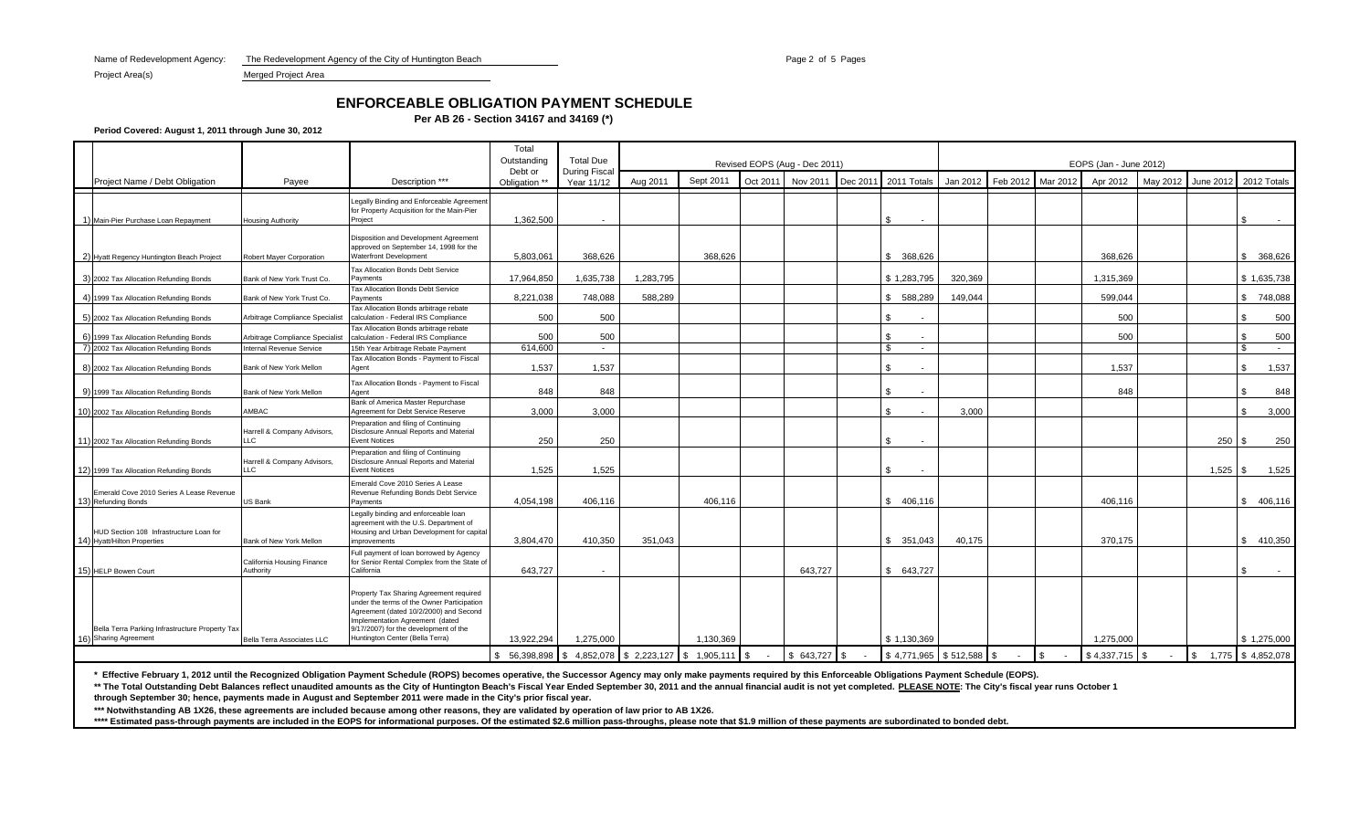Name of Redevelopment Agency: The Redevelopment Agency of the City of Huntington Beach Page 2 of 5 Page 2 of 5 Pages

Project Area(s) Merged Project Area

# **ENFORCEABLE OBLIGATION PAYMENT SCHEDULE**

**Per AB 26 - Section 34167 and 34169 (\*)**

**Period Covered: August 1, 2011 through June 30, 2012**

|                                                                          |                                           |                                                                                                                                                                                                                                                | Total<br>Outstanding     | <b>Total Due</b>           | Revised EOPS (Aug - Dec 2011)        |           |          |          |          |                                |          | EOPS (Jan - June 2012) |          |                  |          |            |                       |  |  |
|--------------------------------------------------------------------------|-------------------------------------------|------------------------------------------------------------------------------------------------------------------------------------------------------------------------------------------------------------------------------------------------|--------------------------|----------------------------|--------------------------------------|-----------|----------|----------|----------|--------------------------------|----------|------------------------|----------|------------------|----------|------------|-----------------------|--|--|
| Project Name / Debt Obligation                                           | Payee                                     | Description ***                                                                                                                                                                                                                                | Debt or<br>Obligation ** | During Fisca<br>Year 11/12 | Aug 2011                             | Sept 2011 | Oct 2011 | Nov 2011 | Dec 2011 | 2011 Totals                    | Jan 2012 | Feb 2012               | Mar 2012 | Apr 2012         | May 2012 |            | June 2012 2012 Totals |  |  |
| 1) Main-Pier Purchase Loan Repayment                                     | <b>Housing Authority</b>                  | Legally Binding and Enforceable Agreement<br>for Property Acquisition for the Main-Pier<br>Proiect                                                                                                                                             | 1.362.500                | $\overline{\phantom{a}}$   |                                      |           |          |          |          | \$                             |          |                        |          |                  |          |            | $\sim$                |  |  |
| 2) Hyatt Regency Huntington Beach Project                                | Robert Mayer Corporation                  | Disposition and Development Agreement<br>approved on September 14, 1998 for the<br><b>Waterfront Development</b>                                                                                                                               | 5.803.061                | 368.626                    |                                      | 368.626   |          |          |          | \$ 368,626                     |          |                        |          | 368.626          |          |            | \$<br>368.626         |  |  |
| 3) 2002 Tax Allocation Refunding Bonds                                   | Bank of New York Trust Co.                | Tax Allocation Bonds Debt Service<br>Payments<br>Tax Allocation Bonds Debt Service                                                                                                                                                             | 17.964.850               | 1.635.738                  | 1.283.795                            |           |          |          |          | \$1,283,795                    | 320.369  |                        |          | 1.315.369        |          |            | \$1,635,738           |  |  |
| 4) 1999 Tax Allocation Refunding Bonds                                   | Bank of New York Trust Co.                | Payments                                                                                                                                                                                                                                       | 8,221,038                | 748,088                    | 588.289                              |           |          |          |          | 588,289<br>\$.                 | 149,044  |                        |          | 599,044          |          |            | \$748,088             |  |  |
| 5) 2002 Tax Allocation Refunding Bonds                                   | Arbitrage Compliance Specialist           | Tax Allocation Bonds arbitrage rebate<br>calculation - Federal IRS Compliance                                                                                                                                                                  | 500                      | 500                        |                                      |           |          |          |          | \$<br>$\overline{\phantom{a}}$ |          |                        |          | 500              |          |            | 500                   |  |  |
| 6) 1999 Tax Allocation Refunding Bonds                                   | Arbitrage Compliance Specialist           | Tax Allocation Bonds arbitrage rebate<br>calculation - Federal IRS Compliance                                                                                                                                                                  | 500                      | 500                        |                                      |           |          |          |          |                                |          |                        |          | 500              |          |            | 500                   |  |  |
| 7) 2002 Tax Allocation Refunding Bonds                                   | Internal Revenue Service                  | 15th Year Arbitrage Rebate Payment                                                                                                                                                                                                             | 614,600                  | $\sim$                     |                                      |           |          |          |          | $\mathbf{\$}$<br>$\sim$        |          |                        |          |                  |          |            | \$<br>$\sim$          |  |  |
| 8) 2002 Tax Allocation Refunding Bonds                                   | Bank of New York Mellon                   | Tax Allocation Bonds - Payment to Fiscal<br>Agent                                                                                                                                                                                              | 1,537                    | 1,537                      |                                      |           |          |          |          | S.                             |          |                        |          | 1.537            |          |            | 1,537                 |  |  |
| 9) 1999 Tax Allocation Refunding Bonds                                   | Bank of New York Mellon                   | Tax Allocation Bonds - Payment to Fiscal<br>Agent                                                                                                                                                                                              | 848                      | 848                        |                                      |           |          |          |          | $\overline{\phantom{a}}$       |          |                        |          | 848              |          |            | 848                   |  |  |
| 10) 2002 Tax Allocation Refunding Bonds                                  | AMBAC                                     | Bank of America Master Repurchase<br>Agreement for Debt Service Reserve                                                                                                                                                                        | 3.000                    | 3.000                      |                                      |           |          |          |          | \$<br>$\sim$                   | 3.000    |                        |          |                  |          |            | 3,000                 |  |  |
| 11) 2002 Tax Allocation Refunding Bonds                                  | Harrell & Company Advisors,<br><b>LLC</b> | Preparation and filing of Continuing<br>Disclosure Annual Reports and Material<br>Event Notices                                                                                                                                                | 250                      | 250                        |                                      |           |          |          |          |                                |          |                        |          |                  |          | 250        | 250                   |  |  |
| 12) 1999 Tax Allocation Refunding Bonds                                  | Harrell & Company Advisors,<br>LLC        | Preparation and filing of Continuing<br>Disclosure Annual Reports and Material<br>Event Notices                                                                                                                                                | 1,525                    | 1,525                      |                                      |           |          |          |          |                                |          |                        |          |                  |          | $1,525$ \$ | 1.525                 |  |  |
| Emerald Cove 2010 Series A Lease Revenue<br>13) Refunding Bonds          | US Bank                                   | Emerald Cove 2010 Series A Lease<br>Revenue Refunding Bonds Debt Service<br>Payments                                                                                                                                                           | 4.054.198                | 406.116                    |                                      | 406.116   |          |          |          | \$406,116                      |          |                        |          | 406.116          |          |            | \$<br>406.116         |  |  |
| HUD Section 108 Infrastructure Loan for<br>14) Hyatt/Hilton Properties   | Bank of New York Mellon                   | egally binding and enforceable loan<br>agreement with the U.S. Department of<br>Housing and Urban Development for capital<br>mprovements                                                                                                       | 3,804,470                | 410,350                    | 351.043                              |           |          |          |          | \$351,043                      | 40,175   |                        |          | 370,175          |          |            | 410.350<br>\$         |  |  |
| 15) HELP Bowen Court                                                     | California Housing Finance<br>Authority   | Full payment of loan borrowed by Agency<br>for Senior Rental Complex from the State of<br>California                                                                                                                                           | 643,727                  | $\sim$                     |                                      |           |          | 643,727  |          | \$643,727                      |          |                        |          |                  |          |            |                       |  |  |
| Bella Terra Parking Infrastructure Property Tax<br>16) Sharing Agreement | Bella Terra Associates LLC                | Property Tax Sharing Agreement required<br>under the terms of the Owner Participation<br>Agreement (dated 10/2/2000) and Second<br>Implementation Agreement (dated<br>9/17/2007) for the development of the<br>Huntington Center (Bella Terra) | 13.922.294               | 1.275.000                  |                                      | 1.130.369 |          |          |          | \$1,130,369                    |          |                        |          | 1,275,000        |          |            | \$1,275,000           |  |  |
|                                                                          |                                           |                                                                                                                                                                                                                                                | 56,398,898               |                            | 4,852,078 \$2,223,127 \$1,905,111 \$ |           |          |          |          | $$4,771,965$ $$512,588$ \$     |          |                        |          | $$4,337,715$ \\$ |          | \$         | 1,775 \$4,852,078     |  |  |

**\* Effective February 1, 2012 until the Recognized Obligation Payment Schedule (ROPS) becomes operative, the Successor Agency may only make payments required by this Enforceable Obligations Payment Schedule (EOPS).**

\*\* The Total Outstanding Debt Balances reflect unaudited amounts as the City of Huntington Beach's Fiscal Year Ended September 30, 2011 and the annual financial audit is not yet completed. PLEASE NOTE: The City's fiscal ye

**through September 30; hence, payments made in August and September 2011 were made in the City's prior fiscal year.**

**\*\*\* Notwithstanding AB 1X26, these agreements are included because among other reasons, they are validated by operation of law prior to AB 1X26.**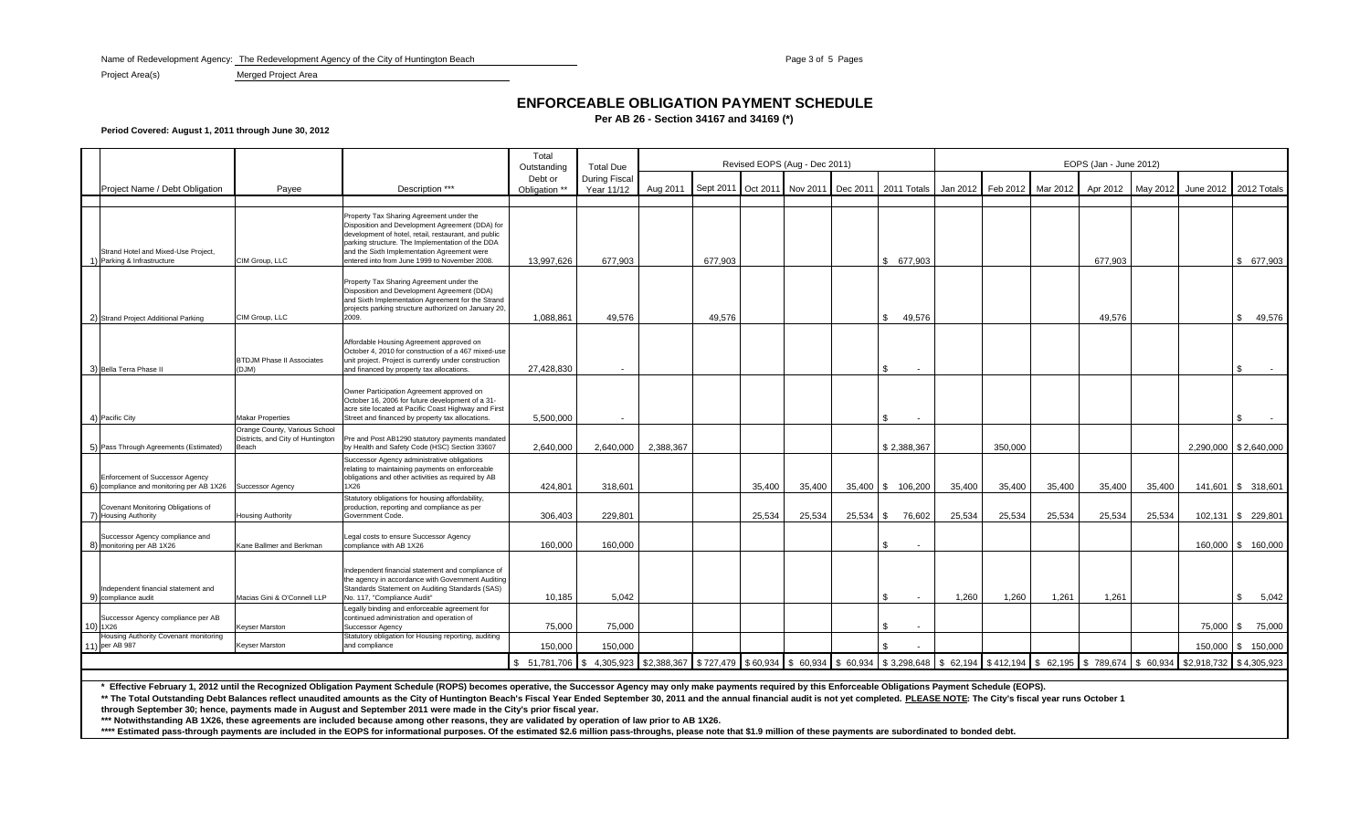Name of Redevelopment Agency: The Redevelopment Agency of the City of Huntington Beach Page 3 of 5 Page 3 of 5 Pages 3 of 5 Pages

Project Area(s) Merged Project Area

## **ENFORCEABLE OBLIGATION PAYMENT SCHEDULE**

**Per AB 26 - Section 34167 and 34169 (\*)**

**Period Covered: August 1, 2011 through June 30, 2012**

|                                                                                    |                                                                             |                                                                                                                                                                                                                                                                                                        | Total<br>Outstanding | <b>Total Due</b>                   | Revised EOPS (Aug - Dec 2011) |                                                    |          |          |          |                         |          | EOPS (Jan - June 2012) |          |                     |          |           |                         |  |  |  |
|------------------------------------------------------------------------------------|-----------------------------------------------------------------------------|--------------------------------------------------------------------------------------------------------------------------------------------------------------------------------------------------------------------------------------------------------------------------------------------------------|----------------------|------------------------------------|-------------------------------|----------------------------------------------------|----------|----------|----------|-------------------------|----------|------------------------|----------|---------------------|----------|-----------|-------------------------|--|--|--|
| Project Name / Debt Obligation                                                     |                                                                             | Description ***                                                                                                                                                                                                                                                                                        | Debt or              | <b>During Fiscal</b><br>Year 11/12 | Aug 2011                      | Sept 2011                                          | Oct 2011 | Nov 2011 | Dec 2011 | 2011 Totals             | Jan 2012 | Feb 2012               | Mar 2012 | Apr 2012            | May 2012 | June 2012 | 2012 Totals             |  |  |  |
|                                                                                    | Payee                                                                       |                                                                                                                                                                                                                                                                                                        | Obligation **        |                                    |                               |                                                    |          |          |          |                         |          |                        |          |                     |          |           |                         |  |  |  |
| Strand Hotel and Mixed-Use Project,<br>1) Parking & Infrastructure                 | CIM Group, LLC                                                              | Property Tax Sharing Agreement under the<br>Disposition and Development Agreement (DDA) for<br>development of hotel, retail, restaurant, and public<br>parking structure. The Implementation of the DDA<br>and the Sixth Implementation Agreement were<br>entered into from June 1999 to November 2008 | 13,997,626           | 677,903                            |                               | 677,903                                            |          |          |          | \$ 677,903              |          |                        |          | 677,903             |          |           | \$ 677,903              |  |  |  |
| 2) Strand Project Additional Parking                                               | CIM Group, LLC                                                              | Property Tax Sharing Agreement under the<br>Disposition and Development Agreement (DDA)<br>and Sixth Implementation Agreement for the Strand<br>projects parking structure authorized on January 20,<br>2009.                                                                                          | 1,088,861            | 49.576                             |                               | 49,576                                             |          |          |          | 49,576<br>\$.           |          |                        |          | 49.576              |          |           | \$<br>49,576            |  |  |  |
| 3) Bella Terra Phase I                                                             | <b>BTDJM Phase II Associates</b><br>(DJM)                                   | Affordable Housing Agreement approved on<br>October 4, 2010 for construction of a 467 mixed-use<br>unit project. Project is currently under construction<br>and financed by property tax allocations.                                                                                                  | 27,428,830           |                                    |                               |                                                    |          |          |          | \$                      |          |                        |          |                     |          |           | \$.                     |  |  |  |
| 4) Pacific City                                                                    | <b>Makar Properties</b>                                                     | Owner Participation Agreement approved on<br>October 16, 2006 for future development of a 31-<br>acre site located at Pacific Coast Highway and First<br>Street and financed by property tax allocations.                                                                                              | 5,500,000            | $\overline{\phantom{a}}$           |                               |                                                    |          |          |          | S<br>$\sim$             |          |                        |          |                     |          |           | £.                      |  |  |  |
| 5) Pass Through Agreements (Estimated)                                             | Orange County, Various School<br>Districts, and City of Huntington<br>Beach | Pre and Post AB1290 statutory payments mandated<br>by Health and Safety Code (HSC) Section 33607                                                                                                                                                                                                       | 2,640,000            | 2.640.000                          | 2.388.367                     |                                                    |          |          |          | \$2.388.367             |          | 350.000                |          |                     |          |           | 2.290.000   \$2.640.000 |  |  |  |
| <b>Enforcement of Successor Agency</b><br>6) compliance and monitoring per AB 1X26 | Successor Agency                                                            | Successor Agency administrative obligations<br>relating to maintaining payments on enforceable<br>obligations and other activities as required by AB<br>1X26                                                                                                                                           | 424,801              | 318,601                            |                               |                                                    | 35,400   | 35,400   |          | 35,400 \$ 106,200       | 35,400   | 35,400                 | 35,400   | 35,400              | 35,400   |           | 141,601 \$ 318,601      |  |  |  |
| Covenant Monitoring Obligations of<br>7) Housing Authority                         | <b>Housing Authority</b>                                                    | Statutory obligations for housing affordability,<br>production, reporting and compliance as per<br>Government Code.                                                                                                                                                                                    | 306,403              | 229.801                            |                               |                                                    | 25,534   | 25,534   | 25,534   | 76,602<br>- \$          | 25,534   | 25,534                 | 25,534   | 25,534              | 25,534   |           | 102,131 \$ 229,801      |  |  |  |
| Successor Agency compliance and<br>8) monitoring per AB 1X26                       | Kane Ballmer and Berkman                                                    | egal costs to ensure Successor Agency<br>compliance with AB 1X26                                                                                                                                                                                                                                       | 160,000              | 160,000                            |                               |                                                    |          |          |          | \$.                     |          |                        |          |                     |          |           | 160,000   \$ 160,000    |  |  |  |
| Independent financial statement and<br>9) compliance audit                         | Macias Gini & O'Connell LLP                                                 | ndependent financial statement and compliance of<br>the agency in accordance with Government Auditing<br>Standards Statement on Auditing Standards (SAS)<br>No. 117, "Compliance Audit"                                                                                                                | 10,185               | 5.042                              |                               |                                                    |          |          |          | $\sim$                  | 1,260    | 1,260                  | 1,261    | 1.261               |          |           | \$.<br>5,042            |  |  |  |
| Successor Agency compliance per AB<br>10) 1X26                                     | <b>Keyser Marston</b>                                                       | Legally binding and enforceable agreement for<br>continued administration and operation of<br>Successor Agency                                                                                                                                                                                         | 75,000               | 75,000                             |                               |                                                    |          |          |          | S                       |          |                        |          |                     |          |           | 75,000 \$ 75,000        |  |  |  |
| Housing Authority Covenant monitoring<br>11) per AB 987                            | Keyser Marston                                                              | Statutory obligation for Housing reporting, auditing<br>and compliance                                                                                                                                                                                                                                 | 150,000              | 150,000                            |                               |                                                    |          |          |          |                         |          |                        |          |                     |          | 150,000   | \$150,000               |  |  |  |
|                                                                                    |                                                                             |                                                                                                                                                                                                                                                                                                        | \$ 51,781,706        | \$4,305,923 \$2,388,367            |                               | $$727,479$ $$60,934$ $$60,934$ $$60,934$ $$60,934$ |          |          |          | $$3,298,648$ \ \$62,194 |          | \$412,194              | \$62,195 | $$789,674$ \$60,934 |          |           | \$2,918,732 \$4,305,923 |  |  |  |

**\* Effective February 1, 2012 until the Recognized Obligation Payment Schedule (ROPS) becomes operative, the Successor Agency may only make payments required by this Enforceable Obligations Payment Schedule (EOPS).**

\*\* The Total Outstanding Debt Balances reflect unaudited amounts as the City of Huntington Beach's Fiscal Year Ended September 30, 2011 and the annual financial audit is not yet completed. PLEASE NOTE: The City's fiscal ye

**through September 30; hence, payments made in August and September 2011 were made in the City's prior fiscal year.**

**\*\*\* Notwithstanding AB 1X26, these agreements are included because among other reasons, they are validated by operation of law prior to AB 1X26.**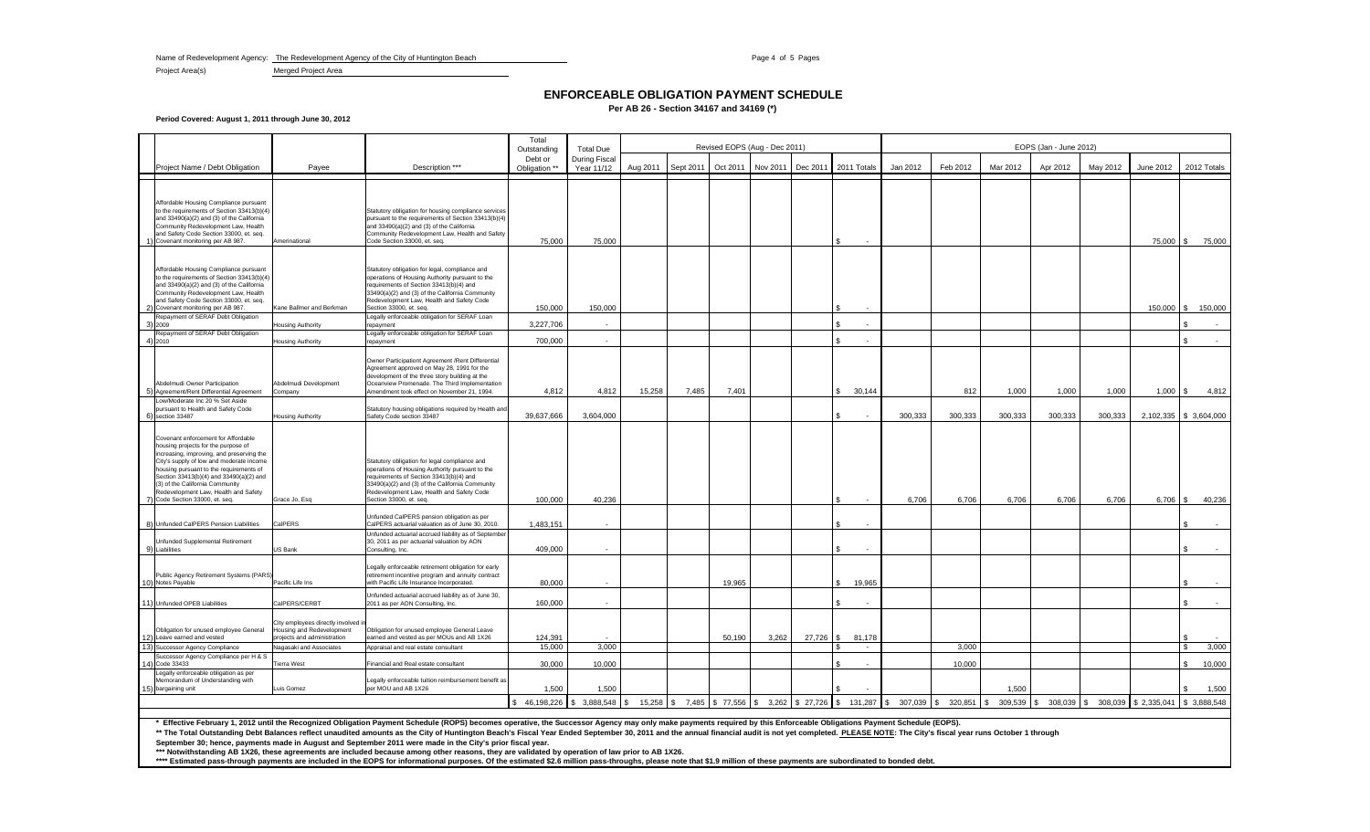Name of Redevelopment Agency: The Redevelopment Agency of the City of Huntington Beach Page 4 of 5 Pages 4 of 5 Pages

Project Area(s) Merged Project Area

### **ENFORCEABLE OBLIGATION PAYMENT SCHEDULE**

**Per AB 26 - Section 34167 and 34169 (\*)**

**Period Covered: August 1, 2011 through June 30, 2012**

|              |                                                                                                                                                                                                                                                                                                                                                                      |                                                                                                                           |                                                                                                                                                                                                                                                                                                            | Total                  |                                          | Revised EOPS (Aug - Dec 2011) |           |          |          |           |             |                  | EOPS (Jan - June 2012) |          |                                                         |          |          |            |                        |  |  |
|--------------|----------------------------------------------------------------------------------------------------------------------------------------------------------------------------------------------------------------------------------------------------------------------------------------------------------------------------------------------------------------------|---------------------------------------------------------------------------------------------------------------------------|------------------------------------------------------------------------------------------------------------------------------------------------------------------------------------------------------------------------------------------------------------------------------------------------------------|------------------------|------------------------------------------|-------------------------------|-----------|----------|----------|-----------|-------------|------------------|------------------------|----------|---------------------------------------------------------|----------|----------|------------|------------------------|--|--|
|              |                                                                                                                                                                                                                                                                                                                                                                      |                                                                                                                           |                                                                                                                                                                                                                                                                                                            | Outstanding<br>Debt or | <b>Total Due</b><br><b>During Fiscal</b> |                               |           |          |          |           |             |                  |                        |          |                                                         |          |          |            |                        |  |  |
|              | Project Name / Debt Obligation                                                                                                                                                                                                                                                                                                                                       | Payee                                                                                                                     | Description ***                                                                                                                                                                                                                                                                                            | Obligation **          | Year 11/12                               | Aug 2011                      | Sept 2011 | Oct 2011 | Nov 2011 | Dec 2011  | 2011 Totals |                  | Jan 2012               | Feb 2012 | Mar 2012                                                | Apr 2012 | May 2012 | June 2012  | 2012 Totals            |  |  |
|              | Affordable Housing Compliance pursuant<br>to the requirements of Section 33413(b)(4)<br>and 33490(a)(2) and (3) of the California<br>Community Redevelopment Law, Health<br>and Safety Code Section 33000, et. seq.<br>Covenant monitoring per AB 987.                                                                                                               | Amerinational                                                                                                             | Statutory obligation for housing compliance services<br>pursuant to the requirements of Section 33413(b)(4)<br>and 33490(a)(2) and (3) of the California<br>Community Redevelopment Law, Health and Safety<br>Code Section 33000, et. seq.                                                                 | 75,000                 | 75,000                                   |                               |           |          |          |           |             |                  |                        |          |                                                         |          |          | 75,000 \$  | 75,000                 |  |  |
|              | Affordable Housing Compliance pursuant<br>to the requirements of Section 33413(b)(4)<br>and 33490(a)(2) and (3) of the California<br>Community Redevelopment Law, Health<br>and Safety Code Section 33000, et. seq.<br>Covenant monitoring per AB 987.                                                                                                               | Kane Ballmer and Berkman                                                                                                  | Statutory obligation for legal, compliance and<br>operations of Housing Authority pursuant to the<br>requirements of Section 33413(b)(4) and<br>33490(a)(2) and (3) of the California Community<br>Redevelopment Law, Health and Safety Code<br>Section 33000, et. seq.                                    | 150,000                | 150,000                                  |                               |           |          |          |           |             |                  |                        |          |                                                         |          |          |            | 150,000 \$ 150,000     |  |  |
| 31           | Repayment of SERAF Debt Obligation<br>2009                                                                                                                                                                                                                                                                                                                           | lousing Authority                                                                                                         | Legally enforceable obligation for SERAF Loan<br>repayment                                                                                                                                                                                                                                                 | 3,227,706              |                                          |                               |           |          |          |           | £.          |                  |                        |          |                                                         |          |          |            |                        |  |  |
| $\Delta$     | Repayment of SERAF Debt Obligation<br>2010                                                                                                                                                                                                                                                                                                                           | <b>Housing Authority</b>                                                                                                  | Legally enforceable obligation for SERAF Loan<br>repayment                                                                                                                                                                                                                                                 | 700,000                | in a                                     |                               |           |          |          |           | ፍ           |                  |                        |          |                                                         |          |          |            |                        |  |  |
|              | Abdelmudi Owner Participation<br>Agreement/Rent Differential Agreement<br>Low/Moderate Inc 20 % Set Aside<br>pursuant to Health and Safety Code                                                                                                                                                                                                                      | Abdelmudi Development<br>Company                                                                                          | Owner Participationt Agreement / Rent Differential<br>Agreement approved on May 28, 1991 for the<br>development of the three story building at the<br>Oceanview Promenade. The Third Implementation<br>Amendment took effect on November 21, 1994.<br>Statutory housing obligations required by Health and | 4,812                  | 4,812                                    | 15,258                        | 7,485     | 7,401    |          |           | -S          | 30,144           |                        | 812      | 1,000                                                   | 1,000    | 1,000    | $1,000$ \$ | 4,812                  |  |  |
| 6)           | section 33487                                                                                                                                                                                                                                                                                                                                                        | Housing Authority                                                                                                         | Safety Code section 33487                                                                                                                                                                                                                                                                                  | 39,637,666             | 3,604,000                                |                               |           |          |          |           |             |                  | 300,333                | 300,333  | 300,333                                                 | 300,333  | 300,333  |            | 2,102,335 \$ 3,604,000 |  |  |
|              | Covenant enforcement for Affordable<br>housing projects for the purpose of<br>increasing, improving, and preserving the<br>City's supply of low and moderate income<br>housing pursuant to the requirements of<br>Section 33413(b)(4) and 33490(a)(2) and<br>(3) of the California Community<br>Redevelopment Law, Health and Safety<br>Code Section 33000, et. seq. | Grace Jo, Esq                                                                                                             | Statutory obligation for legal compliance and<br>operations of Housing Authority pursuant to the<br>requirements of Section 33413(b)(4) and<br>33490(a)(2) and (3) of the California Community<br>Redevelopment Law, Health and Safety Code<br>Section 33000, et. seq.                                     | 100,000                | 40,236                                   |                               |           |          |          |           |             |                  | 6.706                  | 6,706    | 6,706                                                   | 6,706    | 6,706    | 6,706 \$   | 40,236                 |  |  |
|              | 8) Unfunded CalPERS Pension Liabilities                                                                                                                                                                                                                                                                                                                              | CalPERS                                                                                                                   | Unfunded CalPERS pension obligation as per<br>CalPERS actuarial valuation as of June 30, 2010.                                                                                                                                                                                                             | 1,483,151              |                                          |                               |           |          |          |           |             |                  |                        |          |                                                         |          |          |            |                        |  |  |
| $\mathbf{Q}$ | Unfunded Supplemental Retirement<br>Liabilities                                                                                                                                                                                                                                                                                                                      | US Bank                                                                                                                   | Unfunded actuarial accrued liability as of September<br>30, 2011 as per actuarial valuation by AON<br>Consulting, Inc.                                                                                                                                                                                     | 409.000                |                                          |                               |           |          |          |           |             |                  |                        |          |                                                         |          |          |            |                        |  |  |
|              | Public Agency Retirement Systems (PARS)<br>10) Notes Payable                                                                                                                                                                                                                                                                                                         | Pacific Life Ins                                                                                                          | Legally enforceable retirement obligation for early<br>retirement incentive program and annuity contract<br>with Pacific Life Insurance Incorporated.                                                                                                                                                      | 80,000                 |                                          |                               |           | 19,965   |          |           |             | 19,965           |                        |          |                                                         |          |          |            |                        |  |  |
|              | 11) Unfunded OPEB Liabilities                                                                                                                                                                                                                                                                                                                                        | CalPERS/CERBT                                                                                                             | Unfunded actuarial accrued liability as of June 30,<br>2011 as per AON Consulting, Inc.                                                                                                                                                                                                                    | 160,000                | $\overline{\phantom{a}}$                 |                               |           |          |          |           | -S          |                  |                        |          |                                                         |          |          |            |                        |  |  |
| 12)<br>13)   | Obligation for unused employee General<br>Leave earned and vested<br>Successor Agency Compliance                                                                                                                                                                                                                                                                     | City employees directly involved in<br>lousing and Redevelopment<br>roiects and administration<br>Nagasaki and Associates | Obligation for unused employee General Leave<br>earned and vested as per MOUs and AB 1X26<br>Appraisal and real estate consultant                                                                                                                                                                          | 124.391<br>15.000      | 3,000                                    |                               |           | 50.190   | 3.262    | 27.726 \$ | £.          | 81.178<br>$\sim$ |                        | 3.000    |                                                         |          |          |            | 3,000<br>-96           |  |  |
| 14)          | Successor Agency Compliance per H & S<br>Code 33433                                                                                                                                                                                                                                                                                                                  | <b>Tierra West</b>                                                                                                        | Financial and Real estate consultant                                                                                                                                                                                                                                                                       | 30,000                 | 10,000                                   |                               |           |          |          |           |             |                  |                        | 10,000   |                                                         |          |          |            | 10,000                 |  |  |
|              | Legally enforceable obligation as per<br>Memorandum of Understanding with<br>bargaining unit                                                                                                                                                                                                                                                                         | Luis Gomez                                                                                                                | egally enforceable tuition reimbursement benefit as<br>per MOU and AB 1X26                                                                                                                                                                                                                                 | 1,500                  | 1.500                                    |                               |           |          |          |           |             |                  |                        |          | 1.500                                                   |          |          |            | 1,500                  |  |  |
|              |                                                                                                                                                                                                                                                                                                                                                                      |                                                                                                                           | $\frac{1}{2}$ 46,198,226 $\frac{1}{2}$ 3,888,548 $\frac{1}{2}$ 15,258 $\frac{1}{2}$ 7,485 $\frac{1}{2}$ 77,556 $\frac{1}{2}$ 3,262 $\frac{1}{2}$ 27,726 $\frac{1}{2}$ 131,287 $\frac{1}{2}$ 307,039 $\frac{1}{2}$ 320,851 $\frac{1}{2}$                                                                    |                        |                                          |                               |           |          |          |           |             |                  |                        |          | 309,539 \$ 308,039 \$ 308,039 \$ 2,335,041 \$ 3,888,548 |          |          |            |                        |  |  |

**\* Effective February 1, 2012 until the Recognized Obligation Payment Schedule (ROPS) becomes operative, the Successor Agency may only make payments required by this Enforceable Obligations Payment Schedule (EOPS).**

\*\* The Total Outstanding Debt Balances reflect unaudited amounts as the City of Huntington Beach's Fiscal Year Ended September 30, 2011 and the annual financial audit is not yet completed. PLEASE NOTE: The City's fiscal ye

**September 30; hence, payments made in August and September 2011 were made in the City's prior fiscal year.**

\*\*\* Notwithstanding AB 1X26, these agreements are included because among other reasons, they are validated by operation of law prior to AB 1X26.<br>\*\*\*\* Estimated pass-through payments are included in the EOPS for information